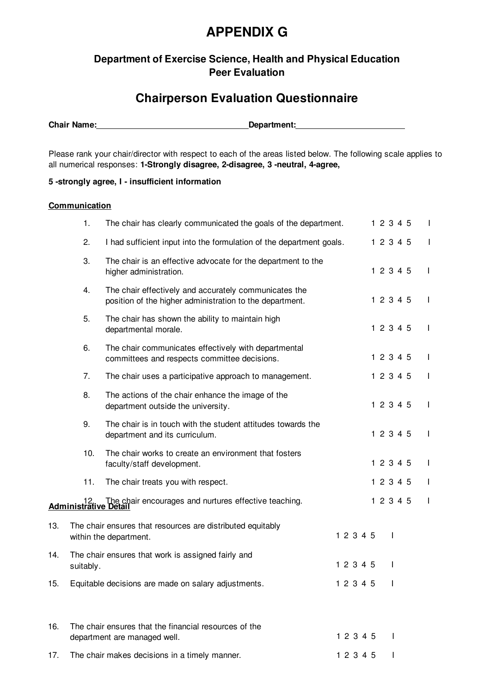# **APPENDIX G**

### **Department of Exercise Science, Health and Physical Education Peer Evaluation**

## **Chairperson Evaluation Questionnaire**

**Chair Name: Department: Department:** 

Please rank your chair/director with respect to each of the areas listed below. The following scale applies to all numerical responses: **1-Strongly disagree, 2-disagree, 3 -neutral, 4-agree,**

### **5 -strongly agree, I - insufficient information**

#### **Communication**

|     | 1.        | The chair has clearly communicated the goals of the department.                                                   |  |           | 1 2 3 4 5 |              |  | L            |
|-----|-----------|-------------------------------------------------------------------------------------------------------------------|--|-----------|-----------|--------------|--|--------------|
|     | 2.        | I had sufficient input into the formulation of the department goals.                                              |  |           | 1 2 3 4 5 |              |  | T            |
|     | 3.        | The chair is an effective advocate for the department to the<br>higher administration.                            |  |           | 1 2 3 4 5 |              |  | $\mathbf{I}$ |
|     | 4.        | The chair effectively and accurately communicates the<br>position of the higher administration to the department. |  |           | 1 2 3 4 5 |              |  | $\mathbf{I}$ |
|     | 5.        | The chair has shown the ability to maintain high<br>departmental morale.                                          |  |           | 1 2 3 4 5 |              |  | $\mathbf{I}$ |
|     | 6.        | The chair communicates effectively with departmental<br>committees and respects committee decisions.              |  |           | 1 2 3 4 5 |              |  | $\mathbf{I}$ |
|     | 7.        | The chair uses a participative approach to management.                                                            |  |           | 1 2 3 4 5 |              |  | $\mathbf{I}$ |
|     | 8.        | The actions of the chair enhance the image of the<br>department outside the university.                           |  |           | 1 2 3 4 5 |              |  | $\mathbf{I}$ |
|     | 9.        | The chair is in touch with the student attitudes towards the<br>department and its curriculum.                    |  |           | 1 2 3 4 5 |              |  | $\mathbf{I}$ |
|     | 10.       | The chair works to create an environment that fosters<br>faculty/staff development.                               |  |           | 1 2 3 4 5 |              |  | $\mathbf{I}$ |
|     | 11.       | The chair treats you with respect.                                                                                |  |           | 1 2 3 4 5 |              |  | $\mathbf{I}$ |
|     |           | 12. The chair encourages and nurtures effective teaching.<br><b>Administrative Detail</b>                         |  |           | 1 2 3 4 5 |              |  | $\mathbf{I}$ |
| 13. |           | The chair ensures that resources are distributed equitably<br>within the department.                              |  | 1 2 3 4 5 |           |              |  |              |
| 14. | suitably. | The chair ensures that work is assigned fairly and                                                                |  | 12345     |           |              |  |              |
| 15. |           | Equitable decisions are made on salary adjustments                                                                |  | 1 2 3 4 5 |           |              |  |              |
| 16. |           | The chair ensures that the financial resources of the<br>department are managed well.                             |  | 1 2 3 4 5 |           | $\mathbf{I}$ |  |              |
| 17. |           | The chair makes decisions in a timely manner.                                                                     |  | 1 2 3 4 5 |           | $\mathsf{I}$ |  |              |